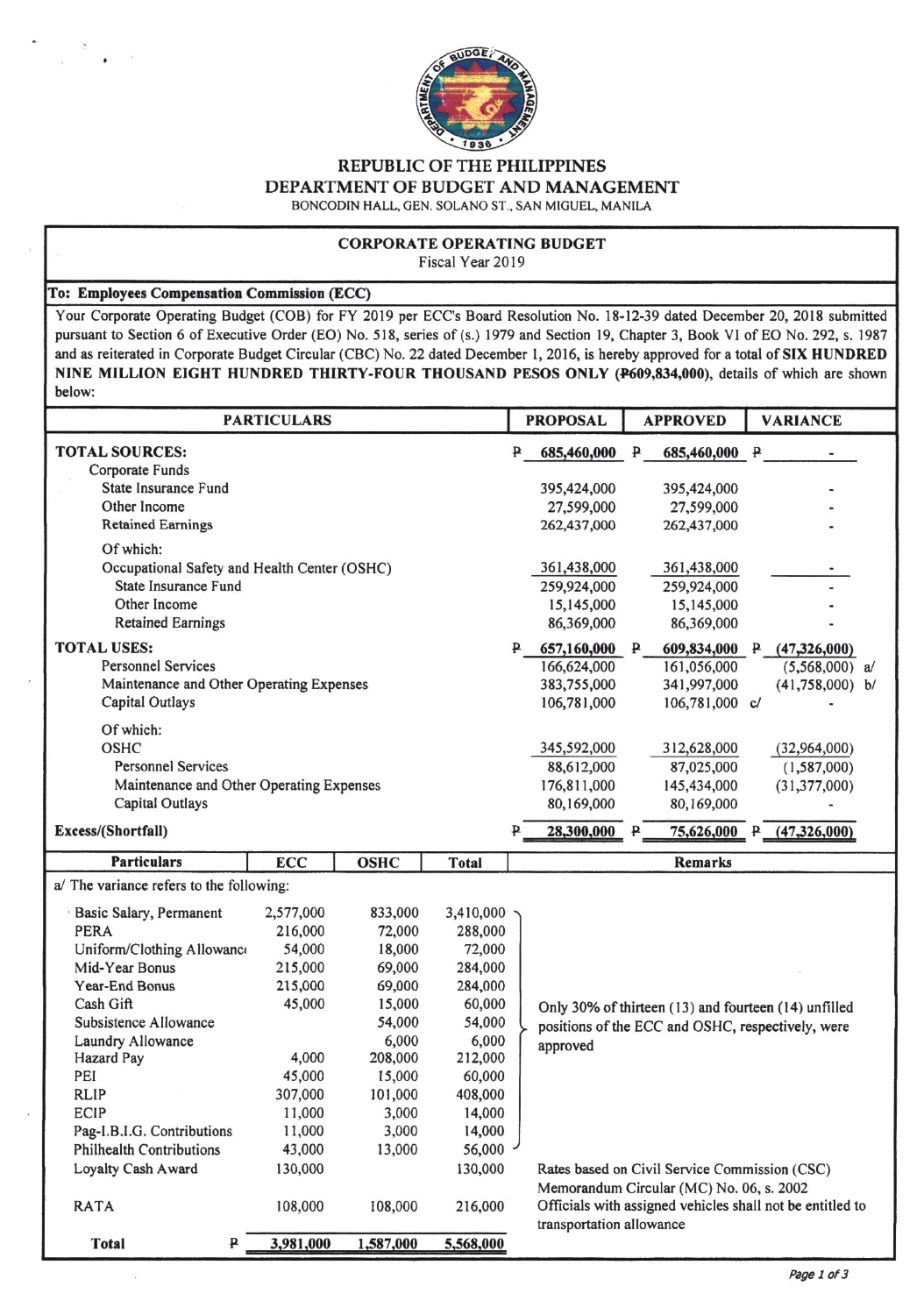

## REPUBLIC OF THE PHILIPPINES DEPARTMENT OF BUDGET AND MANAGEMENT BONCODIN HALL, GEN. SOLANO ST., SAN MIGUEL, MANILA

## **CORPORATE OPERATING BUDGET**

Fiscal Year 2019

## To: Employees Compensation Commission (ECC)

Your Corporate Operating Budget (COB) for FY 2019 per ECC's Board Resolution No. 18-12-39 dated December 20, 2018 submitted pursuant to Section 6 of Executive Order (EO) No. 518, series of (s.) 1979 and Section 19, Chapter 3, Book VI of EO No. 292, s. 1987 and as reiterated in Corporate Budget Circular (CBC) No. 22 dated December 1, 2016, is hereby approved for a total of SIX HUNDRED NINE MILLION EIGHT HUNDRED THIRTY-FOUR THOUSAND PESOS ONLY (P609,834,000), details of which are shown below:

| <b>PARTICULARS</b>                           |            |                  |                  |             | <b>PROPOSAL</b><br><b>APPROVED</b>                                                                        |              | <b>VARIANCE</b>                                           |              |                   |  |
|----------------------------------------------|------------|------------------|------------------|-------------|-----------------------------------------------------------------------------------------------------------|--------------|-----------------------------------------------------------|--------------|-------------------|--|
| <b>TOTAL SOURCES:</b>                        |            |                  |                  | ₽           | 685,460,000 P                                                                                             |              | 685,460,000 P                                             |              |                   |  |
| Corporate Funds                              |            |                  |                  |             |                                                                                                           |              |                                                           |              |                   |  |
| <b>State Insurance Fund</b><br>Other Income  |            |                  |                  |             | 395,424,000                                                                                               |              | 395,424,000                                               |              |                   |  |
| <b>Retained Earnings</b>                     |            |                  |                  |             | 27,599,000<br>262,437,000                                                                                 |              | 27,599,000<br>262,437,000                                 |              |                   |  |
| Of which:                                    |            |                  |                  |             |                                                                                                           |              |                                                           |              |                   |  |
| Occupational Safety and Health Center (OSHC) |            |                  |                  |             | 361,438,000                                                                                               |              | 361,438,000                                               |              |                   |  |
| State Insurance Fund                         |            |                  |                  | 259,924,000 |                                                                                                           | 259,924,000  |                                                           |              |                   |  |
| Other Income                                 |            |                  |                  | 15,145,000  |                                                                                                           | 15,145,000   |                                                           |              |                   |  |
| <b>Retained Earnings</b>                     |            |                  |                  |             | 86,369,000                                                                                                |              | 86,369,000                                                |              |                   |  |
| <b>TOTAL USES:</b>                           |            |                  |                  |             | 657,160,000 P<br>₽                                                                                        |              | 609,834,000 P                                             |              | (47,326,000)      |  |
| <b>Personnel Services</b>                    |            |                  |                  |             | 166,624,000                                                                                               |              | 161,056,000                                               |              | $(5,568,000)$ a/  |  |
| Maintenance and Other Operating Expenses     |            |                  |                  |             | 383,755,000                                                                                               |              | 341,997,000                                               |              | $(41,758,000)$ b/ |  |
| Capital Outlays                              |            |                  |                  |             | 106,781,000                                                                                               |              | 106,781,000 c/                                            |              |                   |  |
| Of which:                                    |            |                  |                  |             |                                                                                                           |              |                                                           |              |                   |  |
| <b>OSHC</b>                                  |            |                  |                  |             | 345,592,000                                                                                               |              | 312,628,000                                               |              | (32,964,000)      |  |
| <b>Personnel Services</b>                    |            |                  |                  |             | 88,612,000                                                                                                |              | 87,025,000                                                |              | (1,587,000)       |  |
| Maintenance and Other Operating Expenses     |            |                  |                  |             | 176,811,000                                                                                               |              | 145,434,000                                               |              | (31, 377, 000)    |  |
| Capital Outlays                              |            |                  |                  |             | 80,169,000                                                                                                |              | 80,169,000                                                |              |                   |  |
| Excess/(Shortfall)                           |            |                  |                  | ₽           | 28,300,000                                                                                                | $\mathbf{p}$ | 75,626,000                                                | $\mathbf{P}$ | (47, 326, 000)    |  |
| <b>Particulars</b>                           | <b>ECC</b> | <b>OSHC</b>      | Total            |             |                                                                                                           |              | <b>Remarks</b>                                            |              |                   |  |
| a/ The variance refers to the following:     |            |                  |                  |             |                                                                                                           |              |                                                           |              |                   |  |
| Basic Salary, Permanent                      | 2,577,000  | 833,000          | 3,410,000        |             |                                                                                                           |              |                                                           |              |                   |  |
| <b>PERA</b>                                  | 216,000    | 72,000           | 288,000          |             |                                                                                                           |              |                                                           |              |                   |  |
| Uniform/Clothing Allowanco                   | 54,000     | 18,000           | 72,000           |             |                                                                                                           |              |                                                           |              |                   |  |
| Mid-Year Bonus                               | 215,000    | 69,000           | 284,000          |             |                                                                                                           |              |                                                           |              |                   |  |
| <b>Year-End Bonus</b>                        | 215,000    | 69,000           | 284,000          |             | Only 30% of thirteen (13) and fourteen (14) unfilled<br>positions of the ECC and OSHC, respectively, were |              |                                                           |              |                   |  |
| Cash Gift<br>Subsistence Allowance           | 45,000     | 15,000<br>54,000 | 60,000<br>54,000 |             |                                                                                                           |              |                                                           |              |                   |  |
| Laundry Allowance                            |            | 6,000            | 6,000            |             |                                                                                                           |              |                                                           |              |                   |  |
| Hazard Pay                                   | 4,000      | 208,000          | 212,000          |             | approved                                                                                                  |              |                                                           |              |                   |  |
| PEI                                          | 45,000     | 15,000           | 60,000           |             |                                                                                                           |              |                                                           |              |                   |  |
| <b>RLIP</b>                                  | 307,000    | 101,000          | 408,000          |             |                                                                                                           |              |                                                           |              |                   |  |
| <b>ECIP</b>                                  | 11,000     | 3,000            | 14,000           |             |                                                                                                           |              |                                                           |              |                   |  |
| Pag-I.B.I.G. Contributions                   | 11,000     | 3,000            | 14,000           |             |                                                                                                           |              |                                                           |              |                   |  |
| <b>Philhealth Contributions</b>              | 43,000     | 13,000           | 56,000           |             |                                                                                                           |              |                                                           |              |                   |  |
| Loyalty Cash Award                           | 130,000    |                  | 130,000          |             |                                                                                                           |              | Rates based on Civil Service Commission (CSC)             |              |                   |  |
|                                              |            |                  |                  |             |                                                                                                           |              | Memorandum Circular (MC) No. 06, s. 2002                  |              |                   |  |
| <b>RATA</b>                                  | 108,000    | 108,000          | 216,000          |             | transportation allowance                                                                                  |              | Officials with assigned vehicles shall not be entitled to |              |                   |  |
| ₽<br><b>Total</b>                            | 3,981,000  | 1,587,000        | 5,568,000        |             |                                                                                                           |              |                                                           |              |                   |  |